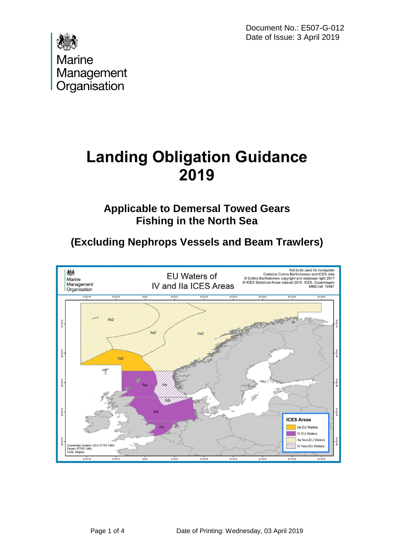Document No.: E507-G-012 Date of Issue: 3 April 2019



## **Landing Obligation Guidance 2019**

**Applicable to Demersal Towed Gears Fishing in the North Sea**

**(Excluding Nephrops Vessels and Beam Trawlers)**

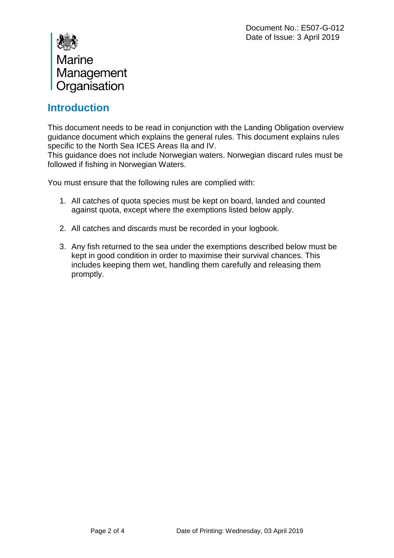

## **Introduction**

This document needs to be read in conjunction with the Landing Obligation overview guidance document which explains the general rules. This document explains rules specific to the North Sea ICES Areas IIa and IV.

This guidance does not include Norwegian waters. Norwegian discard rules must be followed if fishing in Norwegian Waters.

You must ensure that the following rules are complied with:

- 1. All catches of quota species must be kept on board, landed and counted against quota, except where the exemptions listed below apply.
- 2. All catches and discards must be recorded in your logbook.
- 3. Any fish returned to the sea under the exemptions described below must be kept in good condition in order to maximise their survival chances. This includes keeping them wet, handling them carefully and releasing them promptly.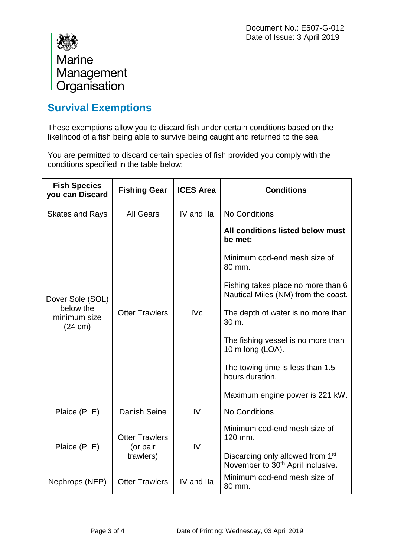

## **Survival Exemptions**

These exemptions allow you to discard fish under certain conditions based on the likelihood of a fish being able to survive being caught and returned to the sea.

You are permitted to discard certain species of fish provided you comply with the conditions specified in the table below:

| <b>Fish Species</b><br>you can Discard                             | <b>Fishing Gear</b>                            | <b>ICES Area</b> | <b>Conditions</b>                                                                             |
|--------------------------------------------------------------------|------------------------------------------------|------------------|-----------------------------------------------------------------------------------------------|
| <b>Skates and Rays</b>                                             | All Gears                                      | IV and IIa       | No Conditions                                                                                 |
| Dover Sole (SOL)<br>below the<br>minimum size<br>$(24 \text{ cm})$ | <b>Otter Trawlers</b>                          | <b>IVc</b>       | All conditions listed below must<br>be met:                                                   |
|                                                                    |                                                |                  | Minimum cod-end mesh size of<br>80 mm.                                                        |
|                                                                    |                                                |                  | Fishing takes place no more than 6<br>Nautical Miles (NM) from the coast.                     |
|                                                                    |                                                |                  | The depth of water is no more than<br>30 m.                                                   |
|                                                                    |                                                |                  | The fishing vessel is no more than<br>10 m long (LOA).                                        |
|                                                                    |                                                |                  | The towing time is less than 1.5<br>hours duration.                                           |
|                                                                    |                                                |                  | Maximum engine power is 221 kW.                                                               |
| Plaice (PLE)                                                       | Danish Seine                                   | IV               | <b>No Conditions</b>                                                                          |
| Plaice (PLE)                                                       | <b>Otter Trawlers</b><br>(or pair<br>trawlers) | IV               | Minimum cod-end mesh size of<br>120 mm.                                                       |
|                                                                    |                                                |                  | Discarding only allowed from 1 <sup>st</sup><br>November to 30 <sup>th</sup> April inclusive. |
| Nephrops (NEP)                                                     | <b>Otter Trawlers</b>                          | IV and IIa       | Minimum cod-end mesh size of<br>80 mm.                                                        |